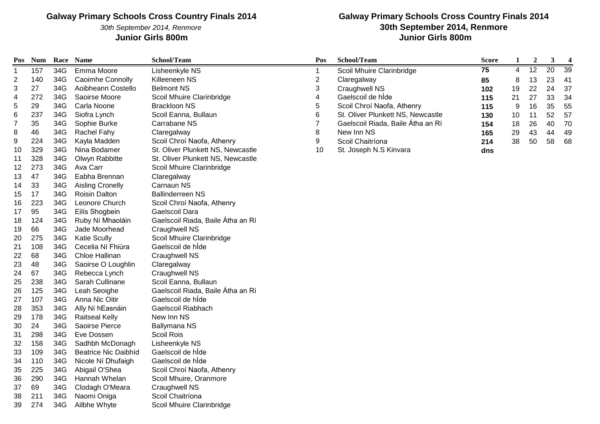30th September 2014, Renmore

### **Galway Primary Schools Cross Country Finals 2014 30th September 2014, Renmore Junior Girls 800m Junior Girls 800m**

| Pos                     | <b>Num</b> |     | Race Name                   | School/Team                       | Pos            | School/Team                       | <b>Score</b> | $\mathbf{1}$ | $\boldsymbol{2}$ | $\mathbf{3}$ | $\overline{\mathbf{4}}$ |
|-------------------------|------------|-----|-----------------------------|-----------------------------------|----------------|-----------------------------------|--------------|--------------|------------------|--------------|-------------------------|
| 1                       | 157        | 34G | Emma Moore                  | Lisheenkyle NS                    |                | Scoil Mhuire Clarinbridge         | 75           | 4            | 12               | 20           | 39                      |
| $\overline{\mathbf{c}}$ | 140        | 34G | Caoimhe Connolly            | Killeeneen NS                     | $\overline{c}$ | Claregalway                       | 85           | 8            | 13               | 23           | 41                      |
| 3                       | 27         | 34G | Aoibheann Costello          | <b>Belmont NS</b>                 | 3              | Craughwell NS                     | 102          | 19           | 22               | 24           | 37                      |
| 4                       | 272        | 34G | Saoirse Moore               | Scoil Mhuire Clarinbridge         |                | Gaelscoil de hÍde                 | 115          | 21           | 27               | 33           | 34                      |
| 5                       | 29         | 34G | Carla Noone                 | <b>Brackloon NS</b>               | 5              | Scoil Chroí Naofa, Athenry        | 115          | 9            | 16               | 35           | 55                      |
| 6                       | 237        | 34G | Siofra Lynch                | Scoil Eanna, Bullaun              | 6              | St. Oliver Plunkett NS, Newcastle | 130          | 10           | 11               | 52           | 57                      |
| $\boldsymbol{7}$        | 35         | 34G | Sophie Burke                | Carrabane NS                      |                | Gaelscoil Riada, Baile Átha an Rí | 154          | 18           | 26               | 40           | 70                      |
| 8                       | 46         | 34G | Rachel Fahy                 | Claregalway                       | 8              | New Inn NS                        | 165          | 29           | 43               | 44           | 49                      |
| 9                       | 224        | 34G | Kayla Madden                | Scoil Chroí Naofa, Athenry        | 9              | Scoil Chaitríona                  | 214          | 38           | 50               | 58           | 68                      |
| 10                      | 329        | 34G | Nina Bodamer                | St. Oliver Plunkett NS, Newcastle | 10             | St. Joseph N.S Kinvara            | dns          |              |                  |              |                         |
| 11                      | 328        | 34G | Olwyn Rabbitte              | St. Oliver Plunkett NS, Newcastle |                |                                   |              |              |                  |              |                         |
| 12                      | 273        | 34G | Ava Carr                    | Scoil Mhuire Clarinbridge         |                |                                   |              |              |                  |              |                         |
| 13                      | 47         | 34G | Eabha Brennan               | Claregalway                       |                |                                   |              |              |                  |              |                         |
| 14                      | 33         | 34G | <b>Aisling Cronelly</b>     | Carnaun NS                        |                |                                   |              |              |                  |              |                         |
| 15                      | 17         | 34G | <b>Roisin Dalton</b>        | <b>Ballinderreen NS</b>           |                |                                   |              |              |                  |              |                         |
| 16                      | 223        | 34G | Leonore Church              | Scoil Chroí Naofa, Athenry        |                |                                   |              |              |                  |              |                         |
| 17                      | 95         | 34G | Eilís Shogbein              | Gaelscoil Dara                    |                |                                   |              |              |                  |              |                         |
| 18                      | 124        | 34G | Ruby Ní Mhaoláin            | Gaelscoil Riada, Baile Átha an Rí |                |                                   |              |              |                  |              |                         |
| 19                      | 66         | 34G | Jade Moorhead               | <b>Craughwell NS</b>              |                |                                   |              |              |                  |              |                         |
| 20                      | 275        | 34G | <b>Katie Scully</b>         | Scoil Mhuire Clarinbridge         |                |                                   |              |              |                  |              |                         |
| 21                      | 108        | 34G | Cecelia Ní Fhiúra           | Gaelscoil de híde                 |                |                                   |              |              |                  |              |                         |
| 22                      | 68         | 34G | Chloe Hallinan              | <b>Craughwell NS</b>              |                |                                   |              |              |                  |              |                         |
| 23                      | 48         | 34G | Saoirse O Loughlin          | Claregalway                       |                |                                   |              |              |                  |              |                         |
| 24                      | 67         | 34G | Rebecca Lynch               | <b>Craughwell NS</b>              |                |                                   |              |              |                  |              |                         |
| 25                      | 238        | 34G | Sarah Cullinane             | Scoil Eanna, Bullaun              |                |                                   |              |              |                  |              |                         |
| 26                      | 125        | 34G | Leah Seoighe                | Gaelscoil Riada, Baile Átha an Rí |                |                                   |              |              |                  |              |                         |
| 27                      | 107        | 34G | Anna Nic Oitir              | Gaelscoil de híde                 |                |                                   |              |              |                  |              |                         |
| 28                      | 353        | 34G | Ally Ní hEasnáin            | Gaelscoil Riabhach                |                |                                   |              |              |                  |              |                         |
| 29                      | 178        | 34G | <b>Raitseal Kelly</b>       | New Inn NS                        |                |                                   |              |              |                  |              |                         |
| 30                      | 24         | 34G | Saoirse Pierce              | Ballymana NS                      |                |                                   |              |              |                  |              |                         |
| 31                      | 298        | 34G | Eve Dossen                  | Scoil Rois                        |                |                                   |              |              |                  |              |                         |
| 32                      | 158        | 34G | Sadhbh McDonagh             | Lisheenkyle NS                    |                |                                   |              |              |                  |              |                         |
| 33                      | 109        | 34G | <b>Beatrice Nic Daibhíd</b> | Gaelscoil de híde                 |                |                                   |              |              |                  |              |                         |
| 34                      | 110        | 34G | Nicole Ní Dhufaigh          | Gaelscoil de híde                 |                |                                   |              |              |                  |              |                         |
| 35                      | 225        | 34G | Abigail O'Shea              | Scoil Chroí Naofa, Athenry        |                |                                   |              |              |                  |              |                         |
| 36                      | 290        | 34G | Hannah Whelan               | Scoil Mhuire, Oranmore            |                |                                   |              |              |                  |              |                         |
| 37                      | 69         | 34G | Clodagh O'Meara             | <b>Craughwell NS</b>              |                |                                   |              |              |                  |              |                         |
| 38                      | 211        | 34G | Naomi Oniga                 | Scoil Chaitríona                  |                |                                   |              |              |                  |              |                         |
| 39                      | 274        | 34G | Ailbhe Whyte                | Scoil Mhuire Clarinbridge         |                |                                   |              |              |                  |              |                         |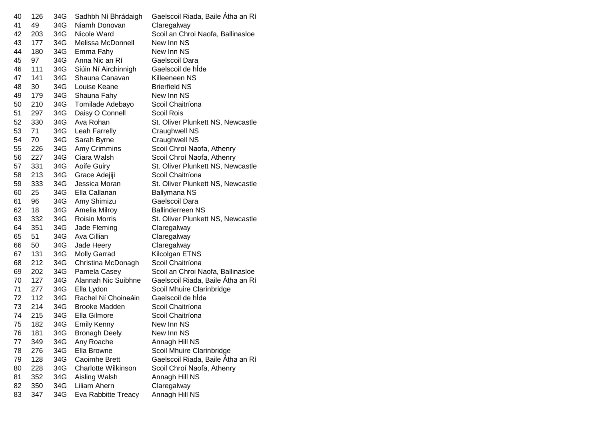| 40 | 126 | 34G | Sadhbh Ní Bhrádaigh        | Gaelscoil Riada, Baile Átha an Rí |
|----|-----|-----|----------------------------|-----------------------------------|
| 41 | 49  | 34G | Niamh Donovan              | Claregalway                       |
| 42 | 203 | 34G | Nicole Ward                | Scoil an Chroi Naofa, Ballinasloe |
| 43 | 177 | 34G | Melissa McDonnell          | New Inn NS                        |
| 44 | 180 | 34G | Emma Fahy                  | New Inn NS                        |
| 45 | 97  | 34G | Anna Nic an Rí             | Gaelscoil Dara                    |
| 46 | 111 | 34G | Siúin Ní Airchinnigh       | Gaelscoil de hide                 |
| 47 | 141 | 34G | Shauna Canavan             | Killeeneen NS                     |
| 48 | 30  | 34G | Louise Keane               | <b>Brierfield NS</b>              |
| 49 | 179 | 34G | Shauna Fahy                | New Inn NS                        |
| 50 | 210 | 34G | Tomilade Adebayo           | Scoil Chaitríona                  |
| 51 | 297 | 34G | Daisy O Connell            | Scoil Rois                        |
| 52 | 330 | 34G | Ava Rohan                  | St. Oliver Plunkett NS, Newcastle |
| 53 | 71  | 34G | Leah Farrelly              | Craughwell NS                     |
| 54 | 70  | 34G | Sarah Byrne                | Craughwell NS                     |
| 55 | 226 | 34G | Amy Crimmins               | Scoil Chroí Naofa, Athenry        |
| 56 | 227 | 34G | Ciara Walsh                | Scoil Chroí Naofa, Athenry        |
| 57 | 331 | 34G | Aoife Guiry                | St. Oliver Plunkett NS, Newcastle |
| 58 | 213 | 34G | Grace Adejiji              | Scoil Chaitríona                  |
| 59 | 333 | 34G | Jessica Moran              | St. Oliver Plunkett NS, Newcastle |
| 60 | 25  | 34G | Ella Callanan              | Ballymana NS                      |
| 61 | 96  | 34G | Amy Shimizu                | Gaelscoil Dara                    |
| 62 | 18  | 34G | Amelia Milroy              | <b>Ballinderreen NS</b>           |
| 63 | 332 | 34G | <b>Roisin Morris</b>       | St. Oliver Plunkett NS, Newcastle |
| 64 | 351 | 34G | Jade Fleming               | Claregalway                       |
| 65 | 51  | 34G | Ava Cillian                | Claregalway                       |
| 66 | 50  | 34G | Jade Heery                 | Claregalway                       |
| 67 | 131 | 34G | <b>Molly Garrad</b>        | Kilcolgan ETNS                    |
| 68 | 212 | 34G | Christina McDonagh         | Scoil Chaitríona                  |
| 69 | 202 | 34G | Pamela Casey               | Scoil an Chroi Naofa, Ballinasloe |
| 70 | 127 | 34G | Alannah Nic Suibhne        | Gaelscoil Riada, Baile Átha an Rí |
| 71 | 277 | 34G | Ella Lydon                 | Scoil Mhuire Clarinbridge         |
| 72 | 112 | 34G | Rachel Ní Choineáin        | Gaelscoil de hide                 |
| 73 | 214 | 34G | <b>Brooke Madden</b>       | Scoil Chaitríona                  |
| 74 | 215 | 34G | Ella Gilmore               | Scoil Chaitríona                  |
| 75 | 182 | 34G | <b>Emily Kenny</b>         | New Inn NS                        |
| 76 | 181 | 34G | <b>Bronagh Deely</b>       | New Inn NS                        |
| 77 | 349 | 34G | Any Roache                 | Annagh Hill NS                    |
| 78 | 276 | 34G | Ella Browne                | Scoil Mhuire Clarinbridge         |
| 79 | 128 | 34G | Caoimhe Brett              | Gaelscoil Riada, Baile Átha an Rí |
| 80 | 228 | 34G | <b>Charlotte Wilkinson</b> | Scoil Chroí Naofa, Athenry        |
| 81 | 352 | 34G | Aisling Walsh              | Annagh Hill NS                    |
| 82 | 350 | 34G | Liliam Ahern               | Claregalway                       |
| 83 | 347 | 34G | Eva Rabbitte Treacy        | Annagh Hill NS                    |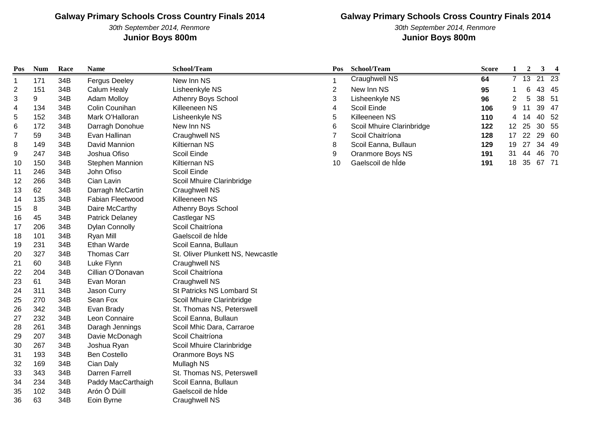30th September 2014, Renmore **Junior Boys 800m Junior Boys 800m**

## **Galway Primary Schools Cross Country Finals 2014**

30th September 2014, Renmore

| Pos            | <b>Num</b> | Race | <b>Name</b>            | School/Team                       | Pos                      | School/Team               | <b>Score</b> | 1               | $\overline{2}$ | $\mathbf{3}$ | $\overline{\mathbf{4}}$ |
|----------------|------------|------|------------------------|-----------------------------------|--------------------------|---------------------------|--------------|-----------------|----------------|--------------|-------------------------|
| -1             | 171        | 34B  | <b>Fergus Deeley</b>   | New Inn NS                        | 1                        | <b>Craughwell NS</b>      | 64           | $\overline{7}$  | 13             | 21           | $\overline{23}$         |
| $\overline{c}$ | 151        | 34B  | Calum Healy            | Lisheenkyle NS                    | $\mathbf 2$              | New Inn NS                | 95           |                 | 6              | 43 45        |                         |
| 3              | 9          | 34B  | <b>Adam Molloy</b>     | Athenry Boys School               | 3                        | Lisheenkyle NS            | 96           | 2               | 5              | 38 51        |                         |
| 4              | 134        | 34B  | Colin Counihan         | Killeeneen NS                     | $\overline{\mathcal{A}}$ | Scoil Einde               | 106          | 9               | 11             | 39 47        |                         |
| 5              | 152        | 34B  | Mark O'Halloran        | Lisheenkyle NS                    | 5                        | Killeeneen NS             | 110          | 4               | 14             | 40           | 52                      |
| 6              | 172        | 34B  | Darragh Donohue        | New Inn NS                        | 6                        | Scoil Mhuire Clarinbridge | 122          | 12 <sup>2</sup> | 25             | 30 55        |                         |
| 7              | 59         | 34B  | Evan Hallinan          | Craughwell NS                     | $\overline{7}$           | Scoil Chaitríona          | 128          | 17              | 22             | 29           | 60                      |
| 8              | 149        | 34B  | David Mannion          | Kiltiernan NS                     | 8                        | Scoil Eanna, Bullaun      | 129          | 19              | 27             | 34 49        |                         |
| 9              | 247        | 34B  | Joshua Ofiso           | Scoil Einde                       | 9                        | Oranmore Boys NS          | 191          | 31              | 44             | 46 70        |                         |
| 10             | 150        | 34B  | Stephen Mannion        | Kiltiernan NS                     | 10                       | Gaelscoil de hÍde         | 191          | 18              |                | 35 67 71     |                         |
| 11             | 246        | 34B  | John Ofiso             | Scoil Einde                       |                          |                           |              |                 |                |              |                         |
| 12             | 266        | 34B  | Cian Lavin             | Scoil Mhuire Clarinbridge         |                          |                           |              |                 |                |              |                         |
| 13             | 62         | 34B  | Darragh McCartin       | Craughwell NS                     |                          |                           |              |                 |                |              |                         |
| 14             | 135        | 34B  | Fabian Fleetwood       | Killeeneen NS                     |                          |                           |              |                 |                |              |                         |
| 15             | 8          | 34B  | Daire McCarthy         | Athenry Boys School               |                          |                           |              |                 |                |              |                         |
| 16             | 45         | 34B  | <b>Patrick Delaney</b> | Castlegar NS                      |                          |                           |              |                 |                |              |                         |
| 17             | 206        | 34B  | <b>Dylan Connolly</b>  | Scoil Chaitríona                  |                          |                           |              |                 |                |              |                         |
| 18             | 101        | 34B  | Ryan Mill              | Gaelscoil de híde                 |                          |                           |              |                 |                |              |                         |
| 19             | 231        | 34B  | Ethan Warde            | Scoil Eanna, Bullaun              |                          |                           |              |                 |                |              |                         |
| 20             | 327        | 34B  | Thomas Carr            | St. Oliver Plunkett NS, Newcastle |                          |                           |              |                 |                |              |                         |
| 21             | 60         | 34B  | Luke Flynn             | Craughwell NS                     |                          |                           |              |                 |                |              |                         |
| 22             | 204        | 34B  | Cillian O'Donavan      | Scoil Chaitríona                  |                          |                           |              |                 |                |              |                         |
| 23             | 61         | 34B  | Evan Moran             | Craughwell NS                     |                          |                           |              |                 |                |              |                         |
| 24             | 311        | 34B  | Jason Curry            | St Patricks NS Lombard St         |                          |                           |              |                 |                |              |                         |
| 25             | 270        | 34B  | Sean Fox               | Scoil Mhuire Clarinbridge         |                          |                           |              |                 |                |              |                         |
| 26             | 342        | 34B  | Evan Brady             | St. Thomas NS, Peterswell         |                          |                           |              |                 |                |              |                         |
| 27             | 232        | 34B  | Leon Connaire          | Scoil Eanna, Bullaun              |                          |                           |              |                 |                |              |                         |
| 28             | 261        | 34B  | Daragh Jennings        | Scoil Mhic Dara, Carraroe         |                          |                           |              |                 |                |              |                         |
| 29             | 207        | 34B  | Davie McDonagh         | Scoil Chaitríona                  |                          |                           |              |                 |                |              |                         |
| 30             | 267        | 34B  | Joshua Ryan            | Scoil Mhuire Clarinbridge         |                          |                           |              |                 |                |              |                         |
| 31             | 193        | 34B  | <b>Ben Costello</b>    | Oranmore Boys NS                  |                          |                           |              |                 |                |              |                         |
| 32             | 169        | 34B  | Cian Daly              | Mullagh NS                        |                          |                           |              |                 |                |              |                         |
| 33             | 343        | 34B  | Darren Farrell         | St. Thomas NS, Peterswell         |                          |                           |              |                 |                |              |                         |
| 34             | 234        | 34B  | Paddy MacCarthaigh     | Scoil Eanna, Bullaun              |                          |                           |              |                 |                |              |                         |
| 35             | 102        | 34B  | Arón Ó Dúill           | Gaelscoil de hÍde                 |                          |                           |              |                 |                |              |                         |
| 36             | 63         | 34B  | Eoin Byrne             | Craughwell NS                     |                          |                           |              |                 |                |              |                         |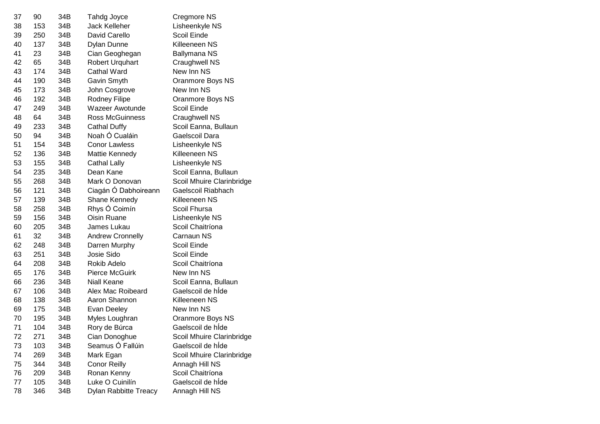| 37 | 90  | 34B | Tahdg Joyce                  | Cregmore NS               |
|----|-----|-----|------------------------------|---------------------------|
| 38 | 153 | 34B | Jack Kelleher                | Lisheenkyle NS            |
| 39 | 250 | 34B | David Carello                | Scoil Einde               |
| 40 | 137 | 34B | Dylan Dunne                  | Killeeneen NS             |
| 41 | 23  | 34B | Cian Geoghegan               | Ballymana NS              |
| 42 | 65  | 34B | <b>Robert Urquhart</b>       | Craughwell NS             |
| 43 | 174 | 34B | Cathal Ward                  | New Inn NS                |
| 44 | 190 | 34B | Gavin Smyth                  | Oranmore Boys NS          |
| 45 | 173 | 34B | John Cosgrove                | New Inn NS                |
| 46 | 192 | 34B | Rodney Filipe                | Oranmore Boys NS          |
| 47 | 249 | 34B | <b>Wazeer Awotunde</b>       | Scoil Einde               |
| 48 | 64  | 34B | Ross McGuinness              | Craughwell NS             |
| 49 | 233 | 34B | Cathal Duffy                 | Scoil Eanna, Bullaun      |
| 50 | 94  | 34B | Noah Ó Cualáin               | Gaelscoil Dara            |
| 51 | 154 | 34B | <b>Conor Lawless</b>         | Lisheenkyle NS            |
| 52 | 136 | 34B | Mattie Kennedy               | Killeeneen NS             |
| 53 | 155 | 34B | <b>Cathal Lally</b>          | Lisheenkyle NS            |
| 54 | 235 | 34B | Dean Kane                    | Scoil Eanna, Bullaun      |
| 55 | 268 | 34B | Mark O Donovan               | Scoil Mhuire Clarinbridge |
| 56 | 121 | 34B | Ciagán Ó Dabhoireann         | Gaelscoil Riabhach        |
| 57 | 139 | 34B | Shane Kennedy                | Killeeneen NS             |
| 58 | 258 | 34B | Rhys Ó Coimín                | Scoil Fhursa              |
| 59 | 156 | 34B | Oisin Ruane                  | Lisheenkyle NS            |
| 60 | 205 | 34B | James Lukau                  | Scoil Chaitríona          |
| 61 | 32  | 34B | <b>Andrew Cronnelly</b>      | Carnaun NS                |
| 62 | 248 | 34B | Darren Murphy                | Scoil Einde               |
| 63 | 251 | 34B | Josie Sido                   | Scoil Einde               |
| 64 | 208 | 34B | Rokib Adelo                  | Scoil Chaitríona          |
| 65 | 176 | 34B | <b>Pierce McGuirk</b>        | New Inn NS                |
| 66 | 236 | 34B | Niall Keane                  | Scoil Eanna, Bullaun      |
| 67 | 106 | 34B | Alex Mac Roibeard            | Gaelscoil de hide         |
| 68 | 138 | 34B | Aaron Shannon                | Killeeneen NS             |
| 69 | 175 | 34B | Evan Deeley                  | New Inn NS                |
| 70 | 195 | 34B | Myles Loughran               | Oranmore Boys NS          |
| 71 | 104 | 34B | Rory de Búrca                | Gaelscoil de hÍde         |
| 72 | 271 | 34B | Cian Donoghue                | Scoil Mhuire Clarinbridge |
| 73 | 103 | 34B | Seamus Ó Fallúin             | Gaelscoil de hÍde         |
| 74 | 269 | 34B | Mark Egan                    | Scoil Mhuire Clarinbridge |
| 75 | 344 | 34B | <b>Conor Reilly</b>          | Annagh Hill NS            |
| 76 | 209 | 34B | Ronan Kenny                  | Scoil Chaitríona          |
| 77 | 105 | 34B | Luke O Cuinilín              | Gaelscoil de hÍde         |
| 78 | 346 | 34B | <b>Dylan Rabbitte Treacy</b> | Annagh Hill NS            |
|    |     |     |                              |                           |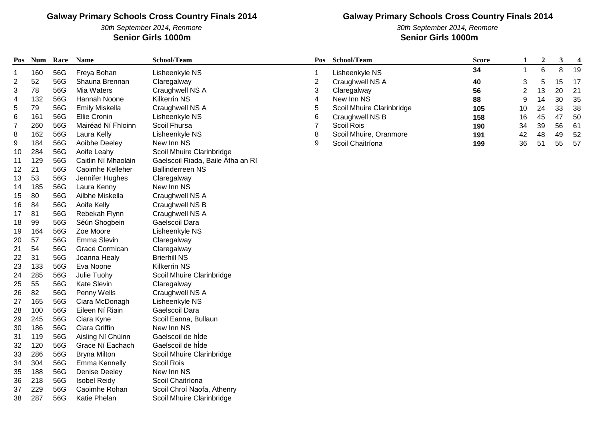#### 30th September 2014, Renmore **Senior Girls 1000m Senior Girls 1000m**

## **Galway Primary Schools Cross Country Finals 2014**

30th September 2014, Renmore

| Pos                      | <b>Num</b> | Race | <b>Name</b>           | School/Team                       | Pos                      | School/Team               | <b>Score</b> | 1              | $\boldsymbol{2}$ | $\mathbf{3}$ | 4  |
|--------------------------|------------|------|-----------------------|-----------------------------------|--------------------------|---------------------------|--------------|----------------|------------------|--------------|----|
| 1                        | 160        | 56G  | Freya Bohan           | Lisheenkyle NS                    | 1                        | Lisheenkyle NS            | 34           | 1              | $\overline{6}$   | 8            | 19 |
| $\overline{2}$           | 52         | 56G  | Shauna Brennan        | Claregalway                       | $\mathbf{2}$             | Craughwell NS A           | 40           | 3              | 5                | 15           | 17 |
| 3                        | 78         | 56G  | Mia Waters            | Craughwell NS A                   | 3                        | Claregalway               | 56           | $\overline{c}$ | 13               | 20           | 21 |
| $\overline{\mathcal{A}}$ | 132        | 56G  | Hannah Noone          | <b>Kilkerrin NS</b>               | $\overline{\mathcal{A}}$ | New Inn NS                | 88           | 9              | 14               | 30           | 35 |
| $\,$ 5 $\,$              | 79         | 56G  | <b>Emily Miskella</b> | Craughwell NS A                   | 5                        | Scoil Mhuire Clarinbridge | 105          | 10             | 24               | 33           | 38 |
| 6                        | 161        | 56G  | <b>Ellie Cronin</b>   | Lisheenkyle NS                    | 6                        | Craughwell NS B           | 158          | 16             | 45               | 47           | 50 |
| $\overline{7}$           | 260        | 56G  | Mairéad Ní Fhloinn    | Scoil Fhursa                      | $\overline{7}$           | Scoil Rois                | 190          | 34             | 39               | 56           | 61 |
| 8                        | 162        | 56G  | Laura Kelly           | Lisheenkyle NS                    | 8                        | Scoil Mhuire, Oranmore    | 191          | 42             | 48               | 49           | 52 |
| 9                        | 184        | 56G  | Aoibhe Deeley         | New Inn NS                        | 9                        | Scoil Chaitríona          | 199          | 36             | 51               | 55           | 57 |
| 10                       | 284        | 56G  | Aoife Leahy           | Scoil Mhuire Clarinbridge         |                          |                           |              |                |                  |              |    |
| 11                       | 129        | 56G  | Caitlin Ní Mhaoláin   | Gaelscoil Riada, Baile Átha an Rí |                          |                           |              |                |                  |              |    |
| 12                       | 21         | 56G  | Caoimhe Kelleher      | <b>Ballinderreen NS</b>           |                          |                           |              |                |                  |              |    |
| 13                       | 53         | 56G  | Jennifer Hughes       | Claregalway                       |                          |                           |              |                |                  |              |    |
| 14                       | 185        | 56G  | Laura Kenny           | New Inn NS                        |                          |                           |              |                |                  |              |    |
| 15                       | 80         | 56G  | Ailbhe Miskella       | Craughwell NS A                   |                          |                           |              |                |                  |              |    |
| 16                       | 84         | 56G  | Aoife Kelly           | Craughwell NS B                   |                          |                           |              |                |                  |              |    |
| 17                       | 81         | 56G  | Rebekah Flynn         | Craughwell NS A                   |                          |                           |              |                |                  |              |    |
| 18                       | 99         | 56G  | Séún Shogbein         | Gaelscoil Dara                    |                          |                           |              |                |                  |              |    |
| 19                       | 164        | 56G  | Zoe Moore             | Lisheenkyle NS                    |                          |                           |              |                |                  |              |    |
| 20                       | 57         | 56G  | Emma Slevin           | Claregalway                       |                          |                           |              |                |                  |              |    |
| 21                       | 54         | 56G  | <b>Grace Cormican</b> | Claregalway                       |                          |                           |              |                |                  |              |    |
| 22                       | 31         | 56G  | Joanna Healy          | <b>Brierhill NS</b>               |                          |                           |              |                |                  |              |    |
| 23                       | 133        | 56G  | Eva Noone             | <b>Kilkerrin NS</b>               |                          |                           |              |                |                  |              |    |
| 24                       | 285        | 56G  | Julie Tuohy           | Scoil Mhuire Clarinbridge         |                          |                           |              |                |                  |              |    |
| 25                       | 55         | 56G  | Kate Slevin           | Claregalway                       |                          |                           |              |                |                  |              |    |
| 26                       | 82         | 56G  | Penny Wells           | Craughwell NS A                   |                          |                           |              |                |                  |              |    |
| 27                       | 165        | 56G  | Ciara McDonagh        | Lisheenkyle NS                    |                          |                           |              |                |                  |              |    |
| 28                       | 100        | 56G  | Eileen Ní Riain       | Gaelscoil Dara                    |                          |                           |              |                |                  |              |    |
| 29                       | 245        | 56G  | Ciara Kyne            | Scoil Eanna, Bullaun              |                          |                           |              |                |                  |              |    |
| 30                       | 186        | 56G  | Ciara Griffin         | New Inn NS                        |                          |                           |              |                |                  |              |    |
| 31                       | 119        | 56G  | Aisling Ní Chúinn     | Gaelscoil de hÍde                 |                          |                           |              |                |                  |              |    |
| 32                       | 120        | 56G  | Grace Ní Eachach      | Gaelscoil de hÍde                 |                          |                           |              |                |                  |              |    |
| 33                       | 286        | 56G  | <b>Bryna Milton</b>   | Scoil Mhuire Clarinbridge         |                          |                           |              |                |                  |              |    |
| 34                       | 304        | 56G  | Emma Kennelly         | Scoil Rois                        |                          |                           |              |                |                  |              |    |
| 35                       | 188        | 56G  | Denise Deeley         | New Inn NS                        |                          |                           |              |                |                  |              |    |
| 36                       | 218        | 56G  | <b>Isobel Reidy</b>   | Scoil Chaitríona                  |                          |                           |              |                |                  |              |    |
| 37                       | 229        | 56G  | Caoimhe Rohan         | Scoil Chroí Naofa, Athenry        |                          |                           |              |                |                  |              |    |
| 38                       | 287        | 56G  | Katie Phelan          | Scoil Mhuire Clarinbridge         |                          |                           |              |                |                  |              |    |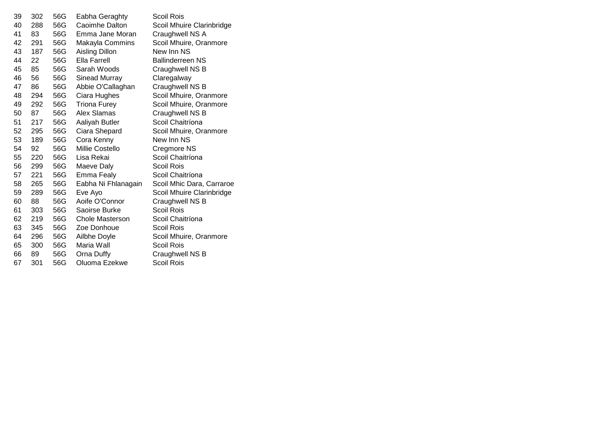| 39 | 302 | 56G | Eabha Geraghty      | <b>Scoil Rois</b>         |
|----|-----|-----|---------------------|---------------------------|
| 40 | 288 | 56G | Caoimhe Dalton      | Scoil Mhuire Clarinbridge |
| 41 | 83  | 56G | Emma Jane Moran     | Craughwell NS A           |
| 42 | 291 | 56G | Makayla Commins     | Scoil Mhuire, Oranmore    |
| 43 | 187 | 56G | Aisling Dillon      | New Inn NS                |
| 44 | 22  | 56G | Ella Farrell        | <b>Ballinderreen NS</b>   |
| 45 | 85  | 56G | Sarah Woods         | Craughwell NS B           |
| 46 | 56  | 56G | Sinead Murray       | Claregalway               |
| 47 | 86  | 56G | Abbie O'Callaghan   | Craughwell NS B           |
| 48 | 294 | 56G | Ciara Hughes        | Scoil Mhuire, Oranmore    |
| 49 | 292 | 56G | <b>Triona Furey</b> | Scoil Mhuire, Oranmore    |
| 50 | 87  | 56G | Alex Slamas         | Craughwell NS B           |
| 51 | 217 | 56G | Aaliyah Butler      | Scoil Chaitríona          |
| 52 | 295 | 56G | Ciara Shepard       | Scoil Mhuire, Oranmore    |
| 53 | 189 | 56G | Cora Kenny          | New Inn NS                |
| 54 | 92  | 56G | Millie Costello     | Cregmore NS               |
| 55 | 220 | 56G | Lisa Rekai          | Scoil Chaitríona          |
| 56 | 299 | 56G | Maeve Daly          | Scoil Rois                |
| 57 | 221 | 56G | Emma Fealy          | Scoil Chaitríona          |
| 58 | 265 | 56G | Eabha Ni Fhlanagain | Scoil Mhic Dara, Carraroe |
| 59 | 289 | 56G | Eve Ayo             | Scoil Mhuire Clarinbridge |
| 60 | 88  | 56G | Aoife O'Connor      | Craughwell NS B           |
| 61 | 303 | 56G | Saoirse Burke       | <b>Scoil Rois</b>         |
| 62 | 219 | 56G | Chole Masterson     | Scoil Chaitríona          |
| 63 | 345 | 56G | Zoe Donhoue         | Scoil Rois                |
| 64 | 296 | 56G | Ailbhe Doyle        | Scoil Mhuire, Oranmore    |
| 65 | 300 | 56G | Maria Wall          | <b>Scoil Rois</b>         |
| 66 | 89  | 56G | Orna Duffy          | Craughwell NS B           |
| 67 | 301 | 56G | Oluoma Ezekwe       | Scoil Rois                |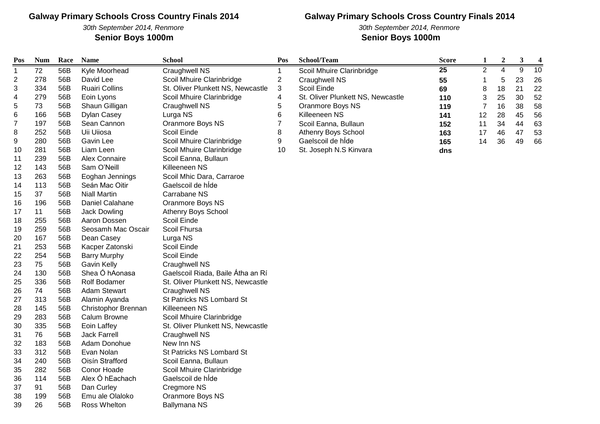30th September 2014, Renmore **Senior Boys 1000m Senior Boys 1000m**

## **Galway Primary Schools Cross Country Finals 2014**

30th September 2014, Renmore

| Pos            | <b>Num</b> | Race | <b>Name</b>           | <b>School</b>                     | Pos            | School/Team                       | <b>Score</b> | 1              | $\boldsymbol{2}$ | $\mathbf{3}$   | 4  |
|----------------|------------|------|-----------------------|-----------------------------------|----------------|-----------------------------------|--------------|----------------|------------------|----------------|----|
| 1              | 72         | 56B  | Kyle Moorhead         | Craughwell NS                     | 1              | Scoil Mhuire Clarinbridge         | 25           | $\overline{2}$ | $\overline{4}$   | $\overline{9}$ | 10 |
| $\overline{c}$ | 278        | 56B  | David Lee             | Scoil Mhuire Clarinbridge         | $\sqrt{2}$     | Craughwell NS                     | 55           |                | 5                | 23             | 26 |
| 3              | 334        | 56B  | <b>Ruairi Collins</b> | St. Oliver Plunkett NS, Newcastle | $\sqrt{3}$     | Scoil Einde                       | 69           | 8              | 18               | 21             | 22 |
| 4              | 279        | 56B  | Eoin Lyons            | Scoil Mhuire Clarinbridge         | 4              | St. Oliver Plunkett NS, Newcastle | 110          | 3              | 25               | 30             | 52 |
| 5              | 73         | 56B  | Shaun Gilligan        | Craughwell NS                     | 5              | Oranmore Boys NS                  | 119          | $\overline{7}$ | 16               | 38             | 58 |
| 6              | 166        | 56B  | Dylan Casey           | Lurga NS                          | 6              | Killeeneen NS                     | 141          | 12             | 28               | 45             | 56 |
| 7              | 197        | 56B  | Sean Cannon           | Oranmore Boys NS                  | $\overline{7}$ | Scoil Eanna, Bullaun              | 152          | 11             | 34               | 44             | 63 |
| 8              | 252        | 56B  | Uii Uiiosa            | Scoil Einde                       | 8              | Athenry Boys School               | 163          | 17             | 46               | 47             | 53 |
| 9              | 280        | 56B  | Gavin Lee             | Scoil Mhuire Clarinbridge         | 9              | Gaelscoil de híde                 | 165          | 14             | 36               | 49             | 66 |
| 10             | 281        | 56B  | Liam Leen             | Scoil Mhuire Clarinbridge         | 10             | St. Joseph N.S Kinvara            | dns          |                |                  |                |    |
| 11             | 239        | 56B  | Alex Connaire         | Scoil Eanna, Bullaun              |                |                                   |              |                |                  |                |    |
| 12             | 143        | 56B  | Sam O'Neill           | Killeeneen NS                     |                |                                   |              |                |                  |                |    |
| 13             | 263        | 56B  | Eoghan Jennings       | Scoil Mhic Dara, Carraroe         |                |                                   |              |                |                  |                |    |
| 14             | 113        | 56B  | Seán Mac Oitir        | Gaelscoil de hÍde                 |                |                                   |              |                |                  |                |    |
| 15             | 37         | 56B  | <b>Niall Martin</b>   | Carrabane NS                      |                |                                   |              |                |                  |                |    |
| 16             | 196        | 56B  | Daniel Calahane       | Oranmore Boys NS                  |                |                                   |              |                |                  |                |    |
| 17             | 11         | 56B  | Jack Dowling          | Athenry Boys School               |                |                                   |              |                |                  |                |    |
| 18             | 255        | 56B  | Aaron Dossen          | Scoil Einde                       |                |                                   |              |                |                  |                |    |
| 19             | 259        | 56B  | Seosamh Mac Oscair    | Scoil Fhursa                      |                |                                   |              |                |                  |                |    |
| 20             | 167        | 56B  | Dean Casey            | Lurga NS                          |                |                                   |              |                |                  |                |    |
| 21             | 253        | 56B  | Kacper Zatonski       | Scoil Einde                       |                |                                   |              |                |                  |                |    |
| 22             | 254        | 56B  | <b>Barry Murphy</b>   | Scoil Einde                       |                |                                   |              |                |                  |                |    |
| 23             | 75         | 56B  | Gavin Kelly           | Craughwell NS                     |                |                                   |              |                |                  |                |    |
| 24             | 130        | 56B  | Shea Ó hAonasa        | Gaelscoil Riada, Baile Átha an Rí |                |                                   |              |                |                  |                |    |
| 25             | 336        | 56B  | Rolf Bodamer          | St. Oliver Plunkett NS, Newcastle |                |                                   |              |                |                  |                |    |
| 26             | 74         | 56B  | <b>Adam Stewart</b>   | Craughwell NS                     |                |                                   |              |                |                  |                |    |
| 27             | 313        | 56B  | Alamin Ayanda         | St Patricks NS Lombard St         |                |                                   |              |                |                  |                |    |
| 28             | 145        | 56B  | Christophor Brennan   | Killeeneen NS                     |                |                                   |              |                |                  |                |    |
| 29             | 283        | 56B  | <b>Calum Browne</b>   | Scoil Mhuire Clarinbridge         |                |                                   |              |                |                  |                |    |
| 30             | 335        | 56B  | Eoin Laffey           | St. Oliver Plunkett NS, Newcastle |                |                                   |              |                |                  |                |    |
| 31             | 76         | 56B  | <b>Jack Farrell</b>   | Craughwell NS                     |                |                                   |              |                |                  |                |    |
| 32             | 183        | 56B  | Adam Donohue          | New Inn NS                        |                |                                   |              |                |                  |                |    |
| 33             | 312        | 56B  | Evan Nolan            | St Patricks NS Lombard St         |                |                                   |              |                |                  |                |    |
| 34             | 240        | 56B  | Oisín Strafford       | Scoil Eanna, Bullaun              |                |                                   |              |                |                  |                |    |
| 35             | 282        | 56B  | Conor Hoade           | Scoil Mhuire Clarinbridge         |                |                                   |              |                |                  |                |    |
| 36             | 114        | 56B  | Alex Ó hEachach       | Gaelscoil de hÍde                 |                |                                   |              |                |                  |                |    |
| 37             | 91         | 56B  | Dan Curley            | Cregmore NS                       |                |                                   |              |                |                  |                |    |
| 38             | 199        | 56B  | Emu ale Olaloko       | Oranmore Boys NS                  |                |                                   |              |                |                  |                |    |
| 39             | 26         | 56B  | Ross Whelton          | <b>Ballymana NS</b>               |                |                                   |              |                |                  |                |    |